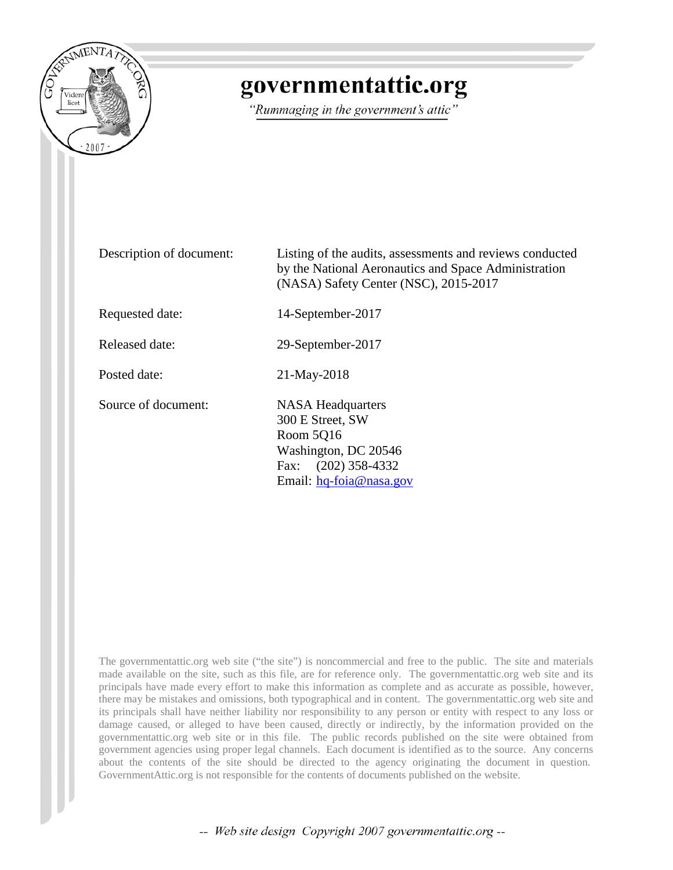

# governmentattic.org

"Rummaging in the government's attic"

Description of document: Listing of the audits, assessments and reviews conducted by the National Aeronautics and Space Administration (NASA) Safety Center (NSC), 2015-2017 Requested date: 14-September-2017 Released date: 29-September-2017 Posted date: 21-May-2018 Source of document: NASA Headquarters 300 E Street, SW Room 5Q16 Washington, DC 20546 Fax: (202) 358-4332 Email: [hq-foia@nasa.gov](mailto:hq-foia@nasa.gov?subject=FOIA%20Request)

The governmentattic.org web site ("the site") is noncommercial and free to the public. The site and materials made available on the site, such as this file, are for reference only. The governmentattic.org web site and its principals have made every effort to make this information as complete and as accurate as possible, however, there may be mistakes and omissions, both typographical and in content. The governmentattic.org web site and its principals shall have neither liability nor responsibility to any person or entity with respect to any loss or damage caused, or alleged to have been caused, directly or indirectly, by the information provided on the governmentattic.org web site or in this file. The public records published on the site were obtained from government agencies using proper legal channels. Each document is identified as to the source. Any concerns about the contents of the site should be directed to the agency originating the document in question. GovernmentAttic.org is not responsible for the contents of documents published on the website.

-- Web site design Copyright 2007 governmentattic.org --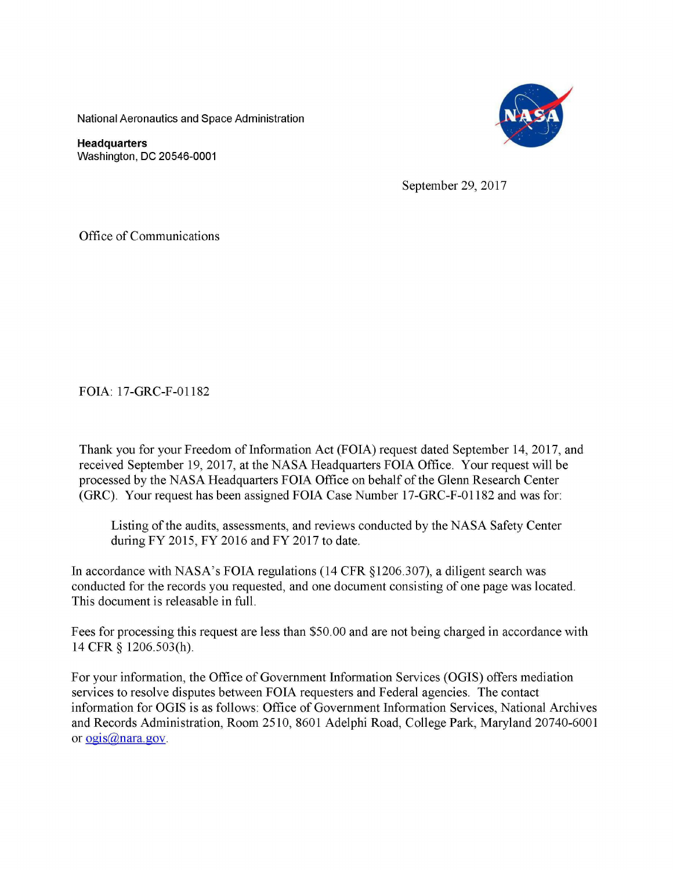National Aeronautics and Space Administration

**Headquarters**  Washington, DC 20546-0001



September 29, 2017

Office of Communications

FOIA: 17-GRC-F-01182

Thank you for your Freedom of Information Act (FOIA) request dated September 14, 2017, and received September 19, 2017, at the NASA Headquarters FOIA Office. Your request will be processed by the NASA Headquarters FOIA Office on behalf of the Glenn Research Center (GRC). Your request has been assigned FOIA Case Number 17-GRC-F-01182 and was for:

Listing of the audits, assessments, and reviews conducted by the NASA Safety Center during FY 2015, FY 2016 and FY 2017 to date.

In accordance with NASA's FOIA regulations (14 CFR §1206.307), a diligent search was conducted for the records you requested, and one document consisting of one page was located. This document is releasable in full.

Fees for processing this request are less than \$50.00 and are not being charged in accordance with 14 CFR § 1206.503(h).

For your information, the Office of Government Information Services (OGIS) offers mediation services to resolve disputes between FOIA requesters and Federal agencies. The contact information for OGIS is as follows: Office of Government Information Services, National Archives and Records Administration, Room 2510, 8601 Adelphi Road, College Park, Maryland 20740-6001 or  $oqsi\omega$ nara.gov.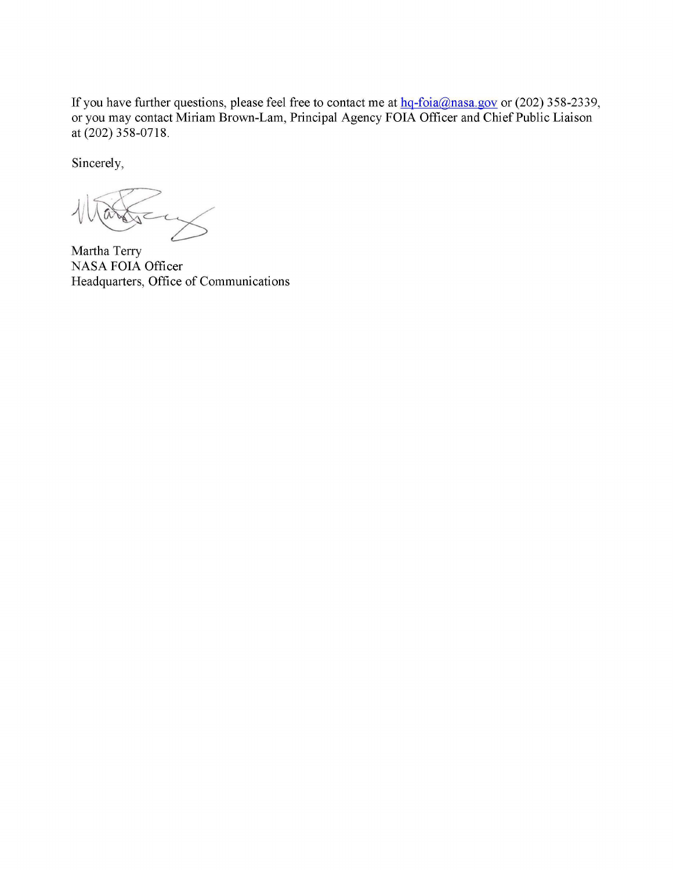If you have further questions, please feel free to contact me at  $hq$ -foia@nasa.gov or (202) 358-2339, or you may contact Miriam Brown-Lam, Principal Agency FOIA Officer and Chief Public Liaison at (202) 358-0718.

Sincerely,

Martha Terry NASA FOIA Officer Headquarters, Office of Communications